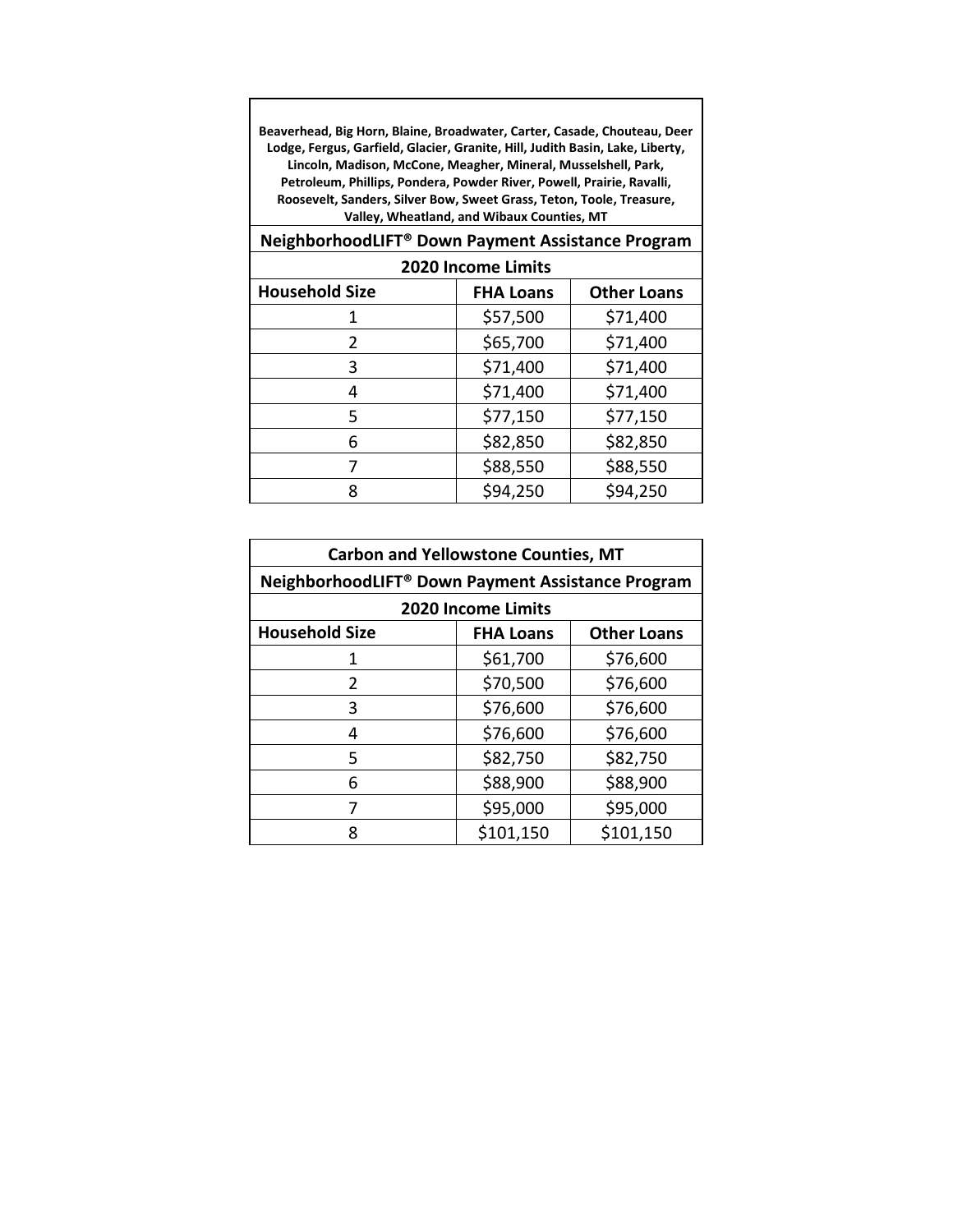**Beaverhead, Big Horn, Blaine, Broadwater, Carter, Casade, Chouteau, Deer Lodge, Fergus, Garfield, Glacier, Granite, Hill, Judith Basin, Lake, Liberty, Lincoln, Madison, McCone, Meagher, Mineral, Musselshell, Park, Petroleum, Phillips, Pondera, Powder River, Powell, Prairie, Ravalli, Roosevelt, Sanders, Silver Bow, Sweet Grass, Teton, Toole, Treasure, Valley, Wheatland, and Wibaux Counties, MT**

| NeighborhoodLIFT® Down Payment Assistance Program |                  |                    |
|---------------------------------------------------|------------------|--------------------|
| 2020 Income Limits                                |                  |                    |
| <b>Household Size</b>                             | <b>FHA Loans</b> | <b>Other Loans</b> |
|                                                   | \$57,500         | \$71,400           |
| $\mathcal{P}$                                     | \$65,700         | \$71,400           |
| 3                                                 | \$71,400         | \$71,400           |
| 4                                                 | \$71,400         | \$71,400           |
| 5.                                                | \$77,150         | \$77,150           |
|                                                   | \$82,850         | \$82,850           |

 $7$  \$88,550 \$88,550 8 \$94,250 \$94,250

| <b>Carbon and Yellowstone Counties, MT</b>        |                    |                    |
|---------------------------------------------------|--------------------|--------------------|
|                                                   |                    |                    |
| NeighborhoodLIFT® Down Payment Assistance Program |                    |                    |
|                                                   | 2020 Income Limits |                    |
| <b>Household Size</b>                             | <b>FHA Loans</b>   | <b>Other Loans</b> |
| 1                                                 | \$61,700           | \$76,600           |
| 2                                                 | \$70,500           | \$76,600           |
| 3                                                 | \$76,600           | \$76,600           |
| 4                                                 | \$76,600           | \$76,600           |
| 5                                                 | \$82,750           | \$82,750           |
| 6                                                 | \$88,900           | \$88,900           |
| 7                                                 | \$95,000           | \$95,000           |
| Ջ                                                 | \$101,150          | \$101,150          |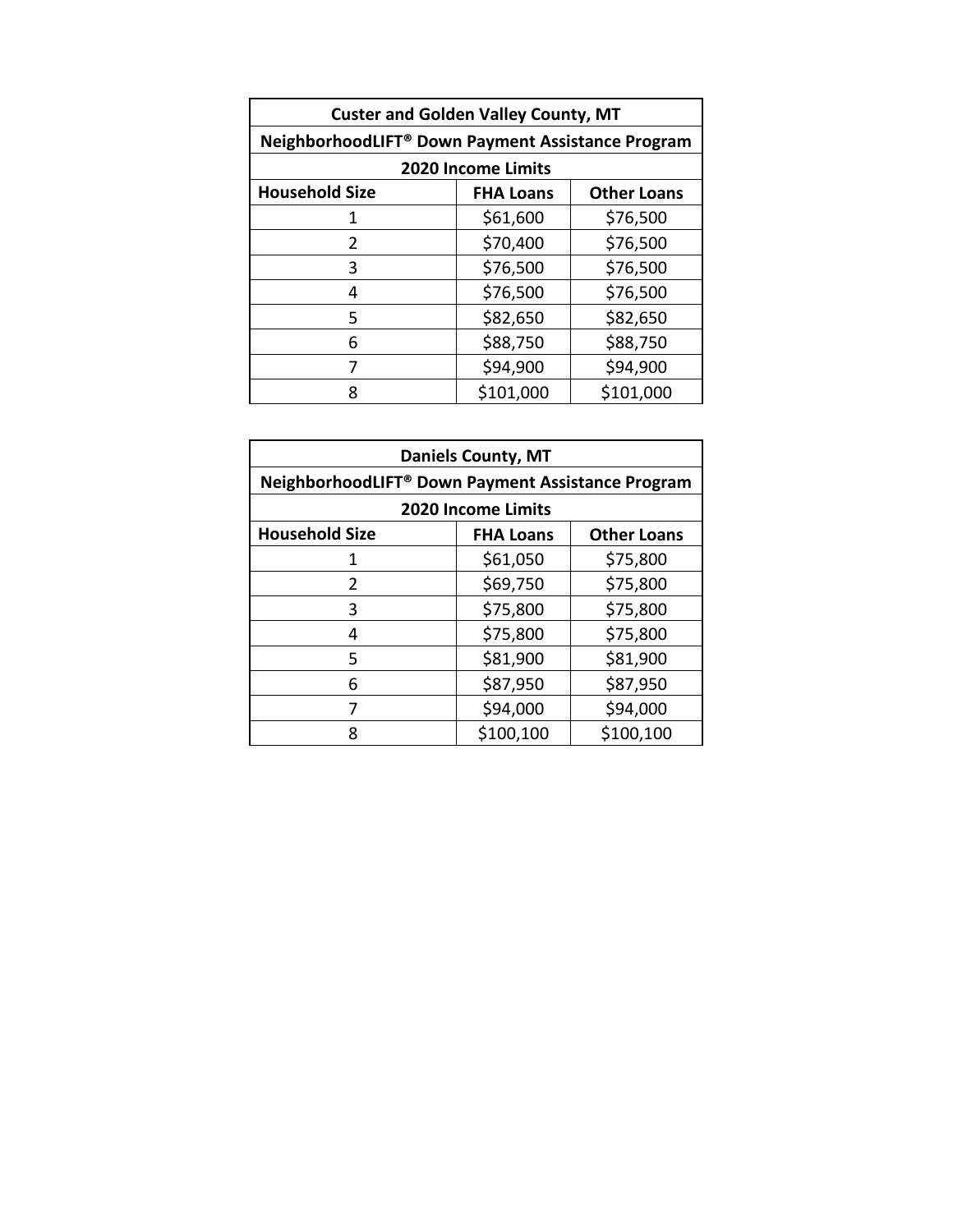| <b>Custer and Golden Valley County, MT</b>        |                    |                    |  |
|---------------------------------------------------|--------------------|--------------------|--|
| NeighborhoodLIFT® Down Payment Assistance Program |                    |                    |  |
|                                                   | 2020 Income Limits |                    |  |
| <b>Household Size</b>                             | <b>FHA Loans</b>   | <b>Other Loans</b> |  |
| 1                                                 | \$61,600           | \$76,500           |  |
| 2                                                 | \$70,400           | \$76,500           |  |
| 3                                                 | \$76,500           | \$76,500           |  |
| 4                                                 | \$76,500           | \$76,500           |  |
| 5                                                 | \$82,650           | \$82,650           |  |
| 6                                                 | \$88,750           | \$88,750           |  |
| 7                                                 | \$94,900           | \$94,900           |  |
| 8                                                 | \$101,000          | \$101,000          |  |

| <b>Daniels County, MT</b> |                                                   |                    |  |
|---------------------------|---------------------------------------------------|--------------------|--|
|                           | NeighborhoodLIFT® Down Payment Assistance Program |                    |  |
|                           | <b>2020 Income Limits</b>                         |                    |  |
| <b>Household Size</b>     | <b>FHA Loans</b>                                  | <b>Other Loans</b> |  |
| 1                         | \$61,050                                          | \$75,800           |  |
| $\overline{2}$            | \$69,750                                          | \$75,800           |  |
| 3                         | \$75,800                                          | \$75,800           |  |
| 4                         | \$75,800                                          | \$75,800           |  |
| 5                         | \$81,900                                          | \$81,900           |  |
| 6                         | \$87,950                                          | \$87,950           |  |
| 7                         | \$94,000                                          | \$94,000           |  |
| ጸ                         | \$100,100                                         | \$100,100          |  |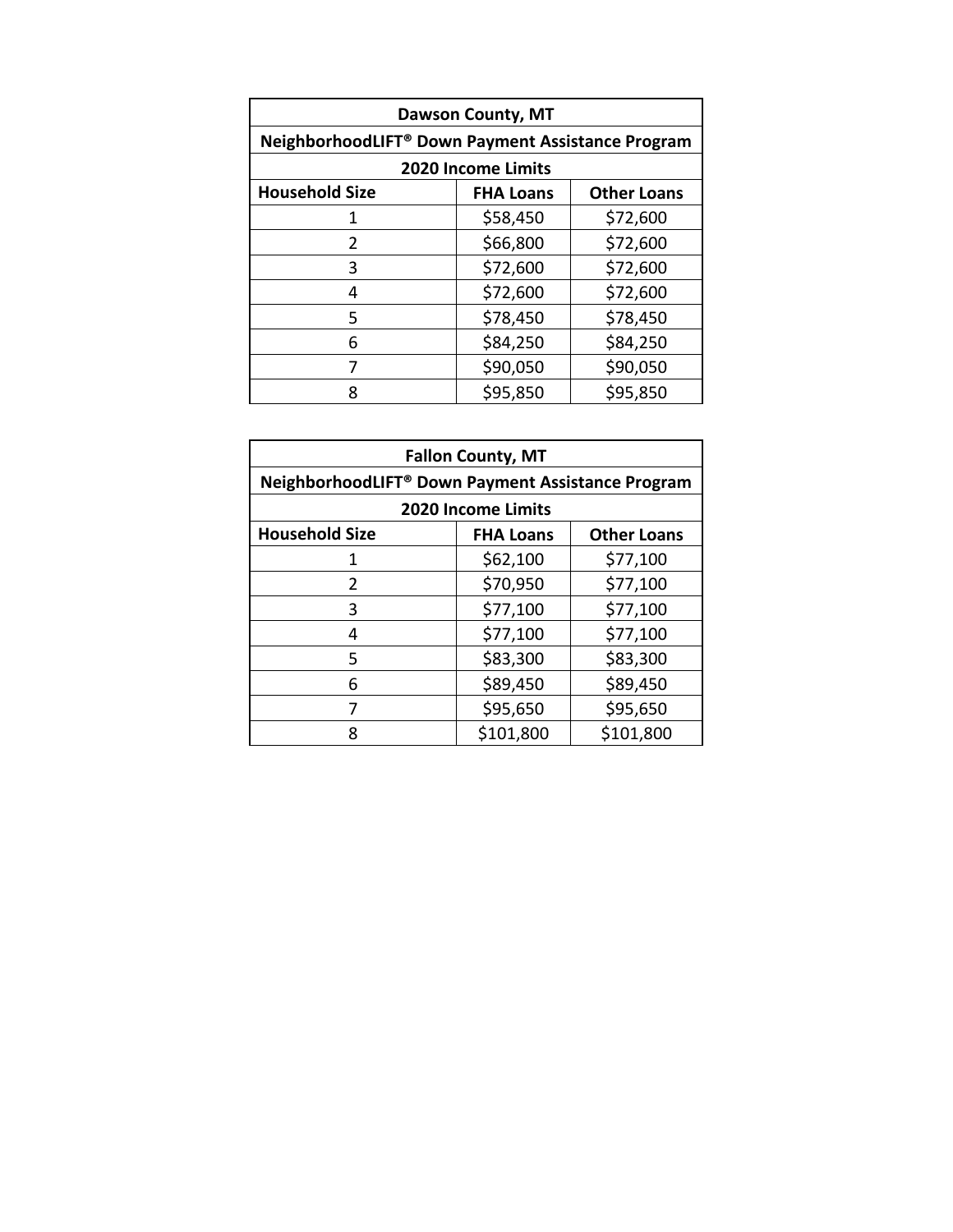| <b>Dawson County, MT</b>                          |                           |                    |
|---------------------------------------------------|---------------------------|--------------------|
| NeighborhoodLIFT® Down Payment Assistance Program |                           |                    |
|                                                   | <b>2020 Income Limits</b> |                    |
| <b>Household Size</b>                             | <b>FHA Loans</b>          | <b>Other Loans</b> |
| 1                                                 | \$58,450                  | \$72,600           |
| 2                                                 | \$66,800                  | \$72,600           |
| 3                                                 | \$72,600                  | \$72,600           |
| 4                                                 | \$72,600                  | \$72,600           |
| 5                                                 | \$78,450                  | \$78,450           |
| 6                                                 | \$84,250                  | \$84,250           |
| 7                                                 | \$90,050                  | \$90,050           |
| ጸ                                                 | \$95,850                  | \$95,850           |

| <b>Fallon County, MT</b>                          |                           |                    |
|---------------------------------------------------|---------------------------|--------------------|
| NeighborhoodLIFT® Down Payment Assistance Program |                           |                    |
|                                                   | <b>2020 Income Limits</b> |                    |
| <b>Household Size</b>                             | <b>FHA Loans</b>          | <b>Other Loans</b> |
| 1                                                 | \$62,100                  | \$77,100           |
| $\mathcal{P}$                                     | \$70,950                  | \$77,100           |
| 3                                                 | \$77,100                  | \$77,100           |
| 4                                                 | \$77,100                  | \$77,100           |
| 5                                                 | \$83,300                  | \$83,300           |
| 6                                                 | \$89,450                  | \$89,450           |
| 7                                                 | \$95,650                  | \$95,650           |
| 8                                                 | \$101,800                 | \$101,800          |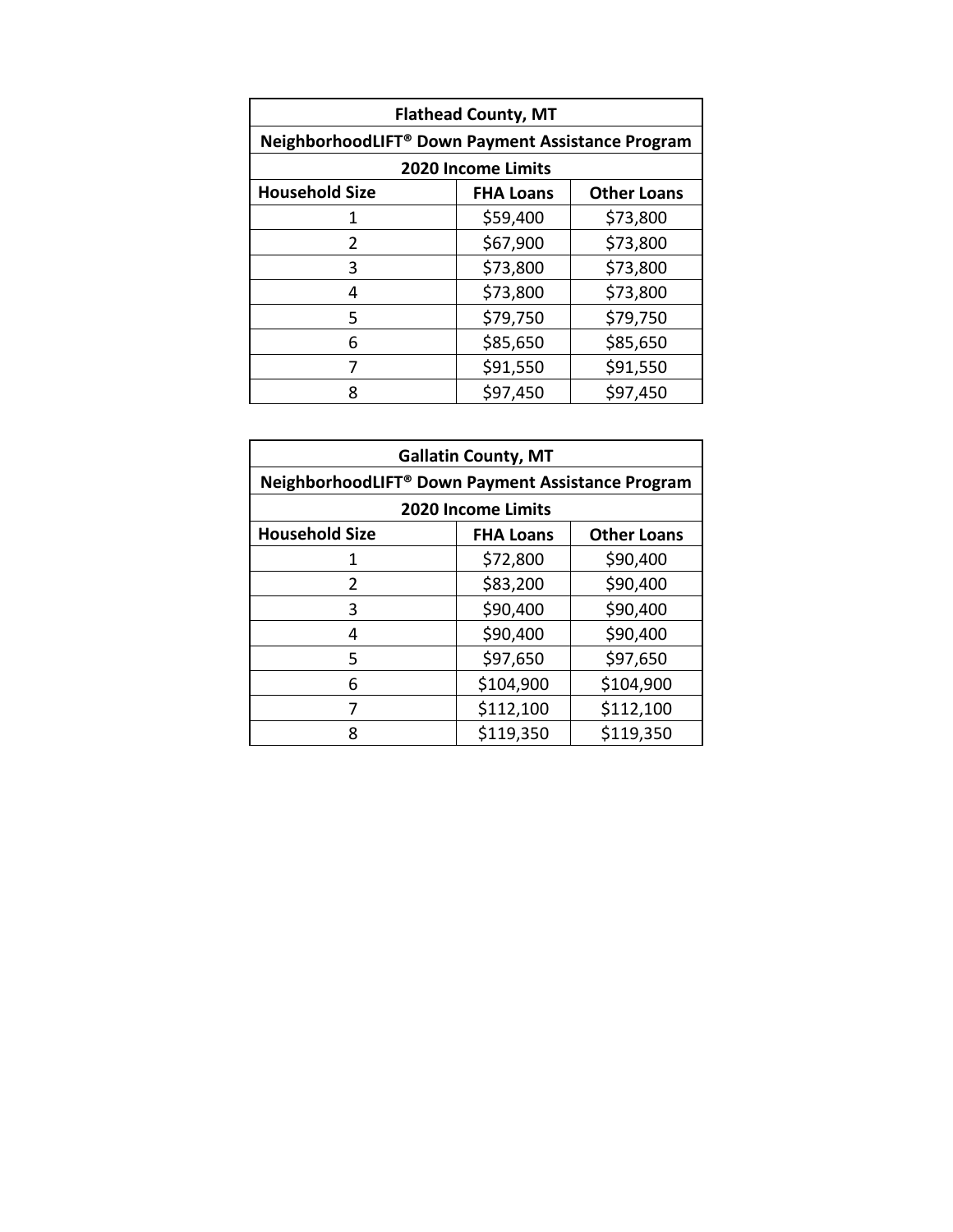| <b>Flathead County, MT</b>                        |                           |                    |
|---------------------------------------------------|---------------------------|--------------------|
| NeighborhoodLIFT® Down Payment Assistance Program |                           |                    |
|                                                   | <b>2020 Income Limits</b> |                    |
| <b>Household Size</b>                             | <b>FHA Loans</b>          | <b>Other Loans</b> |
| 1                                                 | \$59,400                  | \$73,800           |
| 2                                                 | \$67,900                  | \$73,800           |
| 3                                                 | \$73,800                  | \$73,800           |
| 4                                                 | \$73,800                  | \$73,800           |
| 5                                                 | \$79,750                  | \$79,750           |
| 6                                                 | \$85,650                  | \$85,650           |
| 7                                                 | \$91,550                  | \$91,550           |
| 8                                                 | \$97,450                  | \$97,450           |

| <b>Gallatin County, MT</b>                        |                           |                    |
|---------------------------------------------------|---------------------------|--------------------|
| NeighborhoodLIFT® Down Payment Assistance Program |                           |                    |
|                                                   | <b>2020 Income Limits</b> |                    |
| <b>Household Size</b>                             | <b>FHA Loans</b>          | <b>Other Loans</b> |
| 1                                                 | \$72,800                  | \$90,400           |
| $\overline{2}$                                    | \$83,200                  | \$90,400           |
| 3                                                 | \$90,400                  | \$90,400           |
| 4                                                 | \$90,400                  | \$90,400           |
| 5                                                 | \$97,650                  | \$97,650           |
| 6                                                 | \$104,900                 | \$104,900          |
| 7                                                 | \$112,100                 | \$112,100          |
| 8                                                 | \$119,350                 | \$119,350          |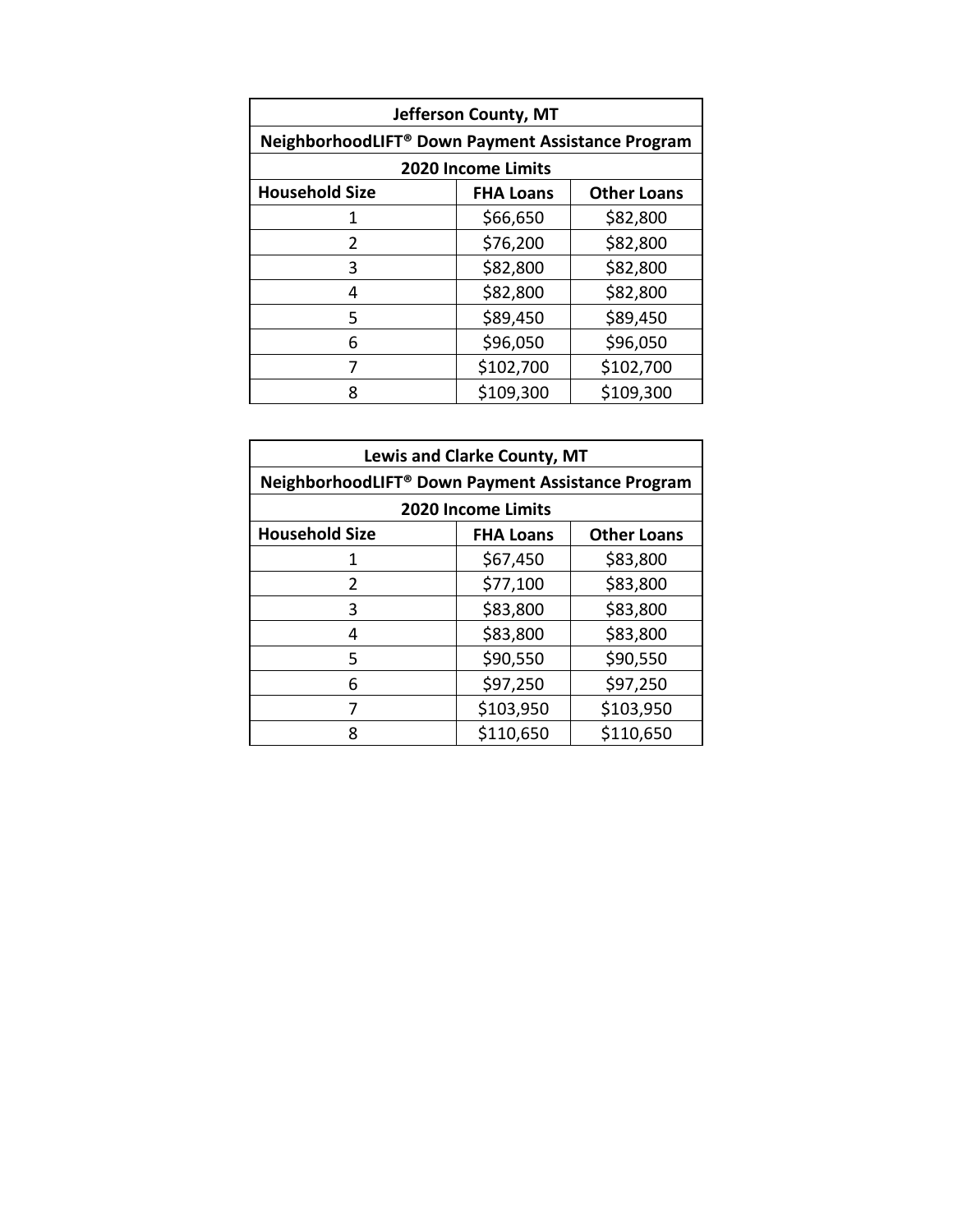| Jefferson County, MT                              |                           |                    |
|---------------------------------------------------|---------------------------|--------------------|
| NeighborhoodLIFT® Down Payment Assistance Program |                           |                    |
|                                                   | <b>2020 Income Limits</b> |                    |
| <b>Household Size</b>                             | <b>FHA Loans</b>          | <b>Other Loans</b> |
| 1                                                 | \$66,650                  | \$82,800           |
| 2                                                 | \$76,200                  | \$82,800           |
| 3                                                 | \$82,800                  | \$82,800           |
| 4                                                 | \$82,800                  | \$82,800           |
| 5                                                 | \$89,450                  | \$89,450           |
| 6                                                 | \$96,050                  | \$96,050           |
| 7                                                 | \$102,700                 | \$102,700          |
| 8                                                 | \$109,300                 | \$109,300          |

| <b>Lewis and Clarke County, MT</b>                |                    |                    |  |
|---------------------------------------------------|--------------------|--------------------|--|
| NeighborhoodLIFT® Down Payment Assistance Program |                    |                    |  |
|                                                   | 2020 Income Limits |                    |  |
| <b>Household Size</b>                             | <b>FHA Loans</b>   | <b>Other Loans</b> |  |
|                                                   | \$67,450           | \$83,800           |  |
| $\mathcal{P}$                                     | \$77,100           | \$83,800           |  |
| 3                                                 | \$83,800           | \$83,800           |  |
| 4                                                 | \$83,800           | \$83,800           |  |
| 5                                                 | \$90,550           | \$90,550           |  |
| 6                                                 | \$97,250           | \$97,250           |  |
|                                                   | \$103,950          | \$103,950          |  |
| 8                                                 | \$110,650          | \$110,650          |  |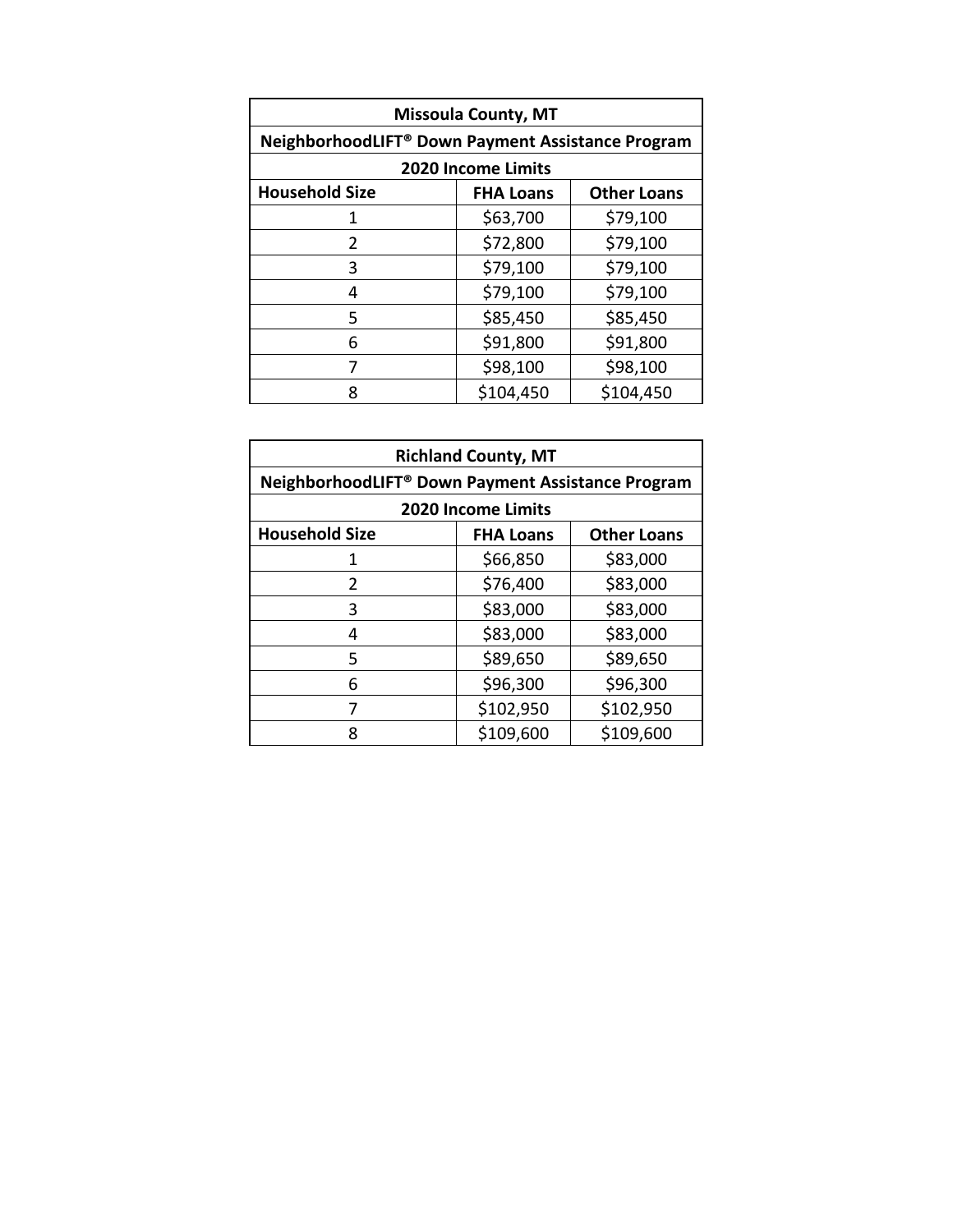| <b>Missoula County, MT</b>                        |                           |                    |  |
|---------------------------------------------------|---------------------------|--------------------|--|
| NeighborhoodLIFT® Down Payment Assistance Program |                           |                    |  |
|                                                   | <b>2020 Income Limits</b> |                    |  |
| <b>Household Size</b>                             | <b>FHA Loans</b>          | <b>Other Loans</b> |  |
| 1                                                 | \$63,700                  | \$79,100           |  |
| 2                                                 | \$72,800                  | \$79,100           |  |
| 3                                                 | \$79,100                  | \$79,100           |  |
| 4                                                 | \$79,100                  | \$79,100           |  |
| 5                                                 | \$85,450                  | \$85,450           |  |
| 6                                                 | \$91,800                  | \$91,800           |  |
| 7                                                 | \$98,100                  | \$98,100           |  |
| 8                                                 | \$104,450                 | \$104,450          |  |

| <b>Richland County, MT</b> |                                                               |                    |  |
|----------------------------|---------------------------------------------------------------|--------------------|--|
|                            | NeighborhoodLIFT <sup>®</sup> Down Payment Assistance Program |                    |  |
|                            | <b>2020 Income Limits</b>                                     |                    |  |
| <b>Household Size</b>      | <b>FHA Loans</b>                                              | <b>Other Loans</b> |  |
| 1                          | \$66,850                                                      | \$83,000           |  |
| $\overline{2}$             | \$76,400                                                      | \$83,000           |  |
| 3                          | \$83,000                                                      | \$83,000           |  |
| 4                          | \$83,000                                                      | \$83,000           |  |
| 5                          | \$89,650                                                      | \$89,650           |  |
| 6                          | \$96,300                                                      | \$96,300           |  |
| 7                          | \$102,950                                                     | \$102,950          |  |
| 8                          | \$109,600                                                     | \$109,600          |  |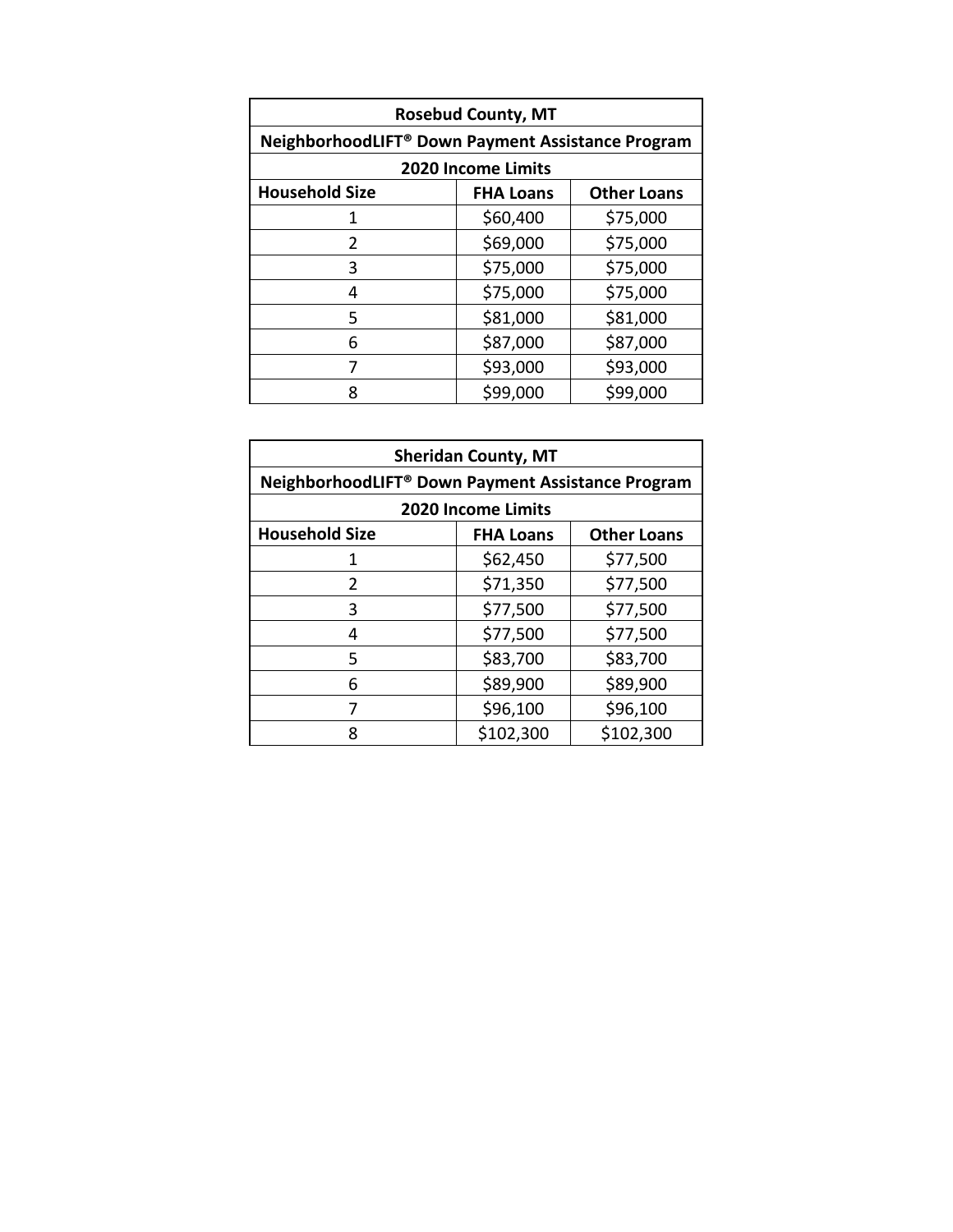| <b>Rosebud County, MT</b>                         |                  |                    |  |
|---------------------------------------------------|------------------|--------------------|--|
| NeighborhoodLIFT® Down Payment Assistance Program |                  |                    |  |
| <b>2020 Income Limits</b>                         |                  |                    |  |
| <b>Household Size</b>                             | <b>FHA Loans</b> | <b>Other Loans</b> |  |
| 1                                                 | \$60,400         | \$75,000           |  |
| 2                                                 | \$69,000         | \$75,000           |  |
| 3                                                 | \$75,000         | \$75,000           |  |
| 4                                                 | \$75,000         | \$75,000           |  |
| 5                                                 | \$81,000         | \$81,000           |  |
| 6                                                 | \$87,000         | \$87,000           |  |
| 7                                                 | \$93,000         | \$93,000           |  |
| 8                                                 | \$99,000         | \$99,000           |  |

| <b>Sheridan County, MT</b>                                    |                  |                    |  |
|---------------------------------------------------------------|------------------|--------------------|--|
| NeighborhoodLIFT <sup>®</sup> Down Payment Assistance Program |                  |                    |  |
| <b>2020 Income Limits</b>                                     |                  |                    |  |
| <b>Household Size</b>                                         | <b>FHA Loans</b> | <b>Other Loans</b> |  |
| 1                                                             | \$62,450         | \$77,500           |  |
| $\overline{2}$                                                | \$71,350         | \$77,500           |  |
| 3                                                             | \$77,500         | \$77,500           |  |
| 4                                                             | \$77,500         | \$77,500           |  |
| 5                                                             | \$83,700         | \$83,700           |  |
| 6                                                             | \$89,900         | \$89,900           |  |
| 7                                                             | \$96,100         | \$96,100           |  |
| ጸ                                                             | \$102,300        | \$102,300          |  |